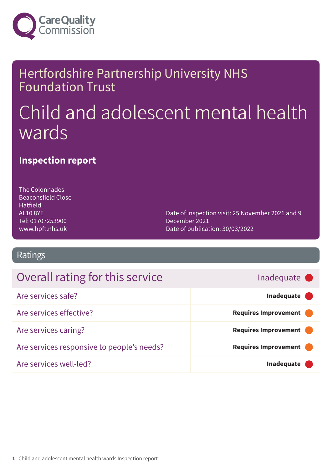

### Hertfordshire Partnership University NHS Foundation Trust

# Child and adolescent mental health wards

### **Inspection report**

The Colonnades Beaconsfield Close Hatfield AL10 8YE Tel: 01707253900 www.hpft.nhs.uk

Date of inspection visit: 25 November 2021 and 9 December 2021 Date of publication: 30/03/2022

### Ratings

### Overall rating for this service **For all and the service For all and respect to the example of the service** and the service **For all and respect to the service** and the service of the service of the service of the servic

### Are services safe? **Inadequate –––** Are services effective? **Example 2018 Requires Improvement** Are services caring? **Are services** caring? Are services responsive to people's needs? **Requires Improvement** Are services well-led? **Inadequate –––**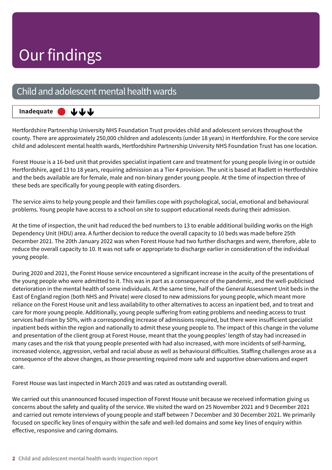### Child and adolescent mental health wards

**Inadequate –––** ももも

Hertfordshire Partnership University NHS Foundation Trust provides child and adolescent services throughout the county. There are approximately 250,000 children and adolescents (under 18 years) in Hertfordshire. For the core service child and adolescent mental health wards, Hertfordshire Partnership University NHS Foundation Trust has one location.

Forest House is a 16-bed unit that provides specialist inpatient care and treatment for young people living in or outside Hertfordshire, aged 13 to 18 years, requiring admission as a Tier 4 provision. The unit is based at Radlett in Hertfordshire and the beds available are for female, male and non-binary gender young people. At the time of inspection three of these beds are specifically for young people with eating disorders.

The service aims to help young people and their families cope with psychological, social, emotional and behavioural problems. Young people have access to a school on site to support educational needs during their admission.

At the time of inspection, the unit had reduced the bed numbers to 13 to enable additional building works on the High Dependency Unit (HDU) area. A further decision to reduce the overall capacity to 10 beds was made before 25th December 2021. The 20th January 2022 was when Forest House had two further discharges and were, therefore, able to reduce the overall capacity to 10. It was not safe or appropriate to discharge earlier in consideration of the individual young people.

During 2020 and 2021, the Forest House service encountered a significant increase in the acuity of the presentations of the young people who were admitted to it. This was in part as a consequence of the pandemic, and the well-publicised deterioration in the mental health of some individuals. At the same time, half of the General Assessment Unit beds in the East of England region (both NHS and Private) were closed to new admissions for young people, which meant more reliance on the Forest House unit and less availability to other alternatives to access an inpatient bed, and to treat and care for more young people. Additionally, young people suffering from eating problems and needing access to trust services had risen by 50%, with a corresponding increase of admissions required, but there were insufficient specialist inpatient beds within the region and nationally to admit these young people to. The impact of this change in the volume and presentation of the client group at Forest House, meant that the young peoples' length of stay had increased in many cases and the risk that young people presented with had also increased, with more incidents of self-harming, increased violence, aggression, verbal and racial abuse as well as behavioural difficulties. Staffing challenges arose as a consequence of the above changes, as those presenting required more safe and supportive observations and expert care.

Forest House was last inspected in March 2019 and was rated as outstanding overall.

We carried out this unannounced focused inspection of Forest House unit because we received information giving us concerns about the safety and quality of the service. We visited the ward on 25 November 2021 and 9 December 2021 and carried out remote interviews of young people and staff between 7 December and 30 December 2021. We primarily focused on specific key lines of enquiry within the safe and well-led domains and some key lines of enquiry within effective, responsive and caring domains.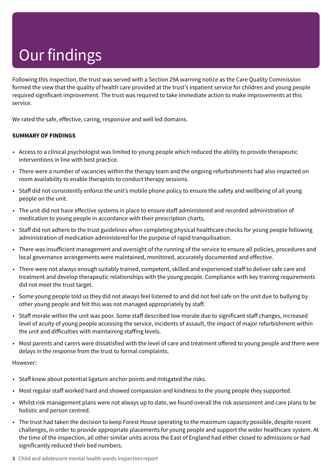Following this inspection, the trust was served with a Section 29A warning notice as the Care Quality Commission formed the view that the quality of health care provided at the trust's inpatient service for children and young people required significant improvement. The trust was required to take immediate action to make improvements at this service.

We rated the safe, effective, caring, responsive and well led domains.

#### **SUMMARY OF FINDINGS**

- Access to a clinical psychologist was limited to young people which reduced the ability to provide therapeutic interventions in line with best practice.
- There were a number of vacancies within the therapy team and the ongoing refurbishments had also impacted on room availability to enable therapists to conduct therapy sessions.
- Staff did not consistently enforce the unit's mobile phone policy to ensure the safety and wellbeing of all young people on the unit.
- The unit did not have effective systems in place to ensure staff administered and recorded administration of medication to young people in accordance with their prescription charts.
- Staff did not adhere to the trust guidelines when completing physical healthcare checks for young people following administration of medication administered for the purpose of rapid tranquilisation.
- There was insufficient management and oversight of the running of the service to ensure all policies, procedures and local governance arrangements were maintained, monitored, accurately documented and effective.
- There were not always enough suitably trained, competent, skilled and experienced staff to deliver safe care and treatment and develop therapeutic relationships with the young people. Compliance with key training requirements did not meet the trust target.
- Some young people told us they did not always feel listened to and did not feel safe on the unit due to bullying by other young people and felt this was not managed appropriately by staff.
- Staff morale within the unit was poor. Some staff described low morale due to significant staff changes, increased level of acuity of young people accessing the service, incidents of assault, the impact of major refurbishment within the unit and difficulties with maintaining staffing levels.
- Most parents and carers were dissatisfied with the level of care and treatment offered to young people and there were delays in the response from the trust to formal complaints.

#### However:

- Staff knew about potential ligature anchor points and mitigated the risks.
- Most regular staff worked hard and showed compassion and kindness to the young people they supported.
- Whilst risk management plans were not always up to date, we found overall the risk assessment and care plans to be holistic and person centred.
- The trust had taken the decision to keep Forest House operating to the maximum capacity possible, despite recent challenges, in order to provide appropriate placements for young people and support the wider healthcare system. At the time of the inspection, all other similar units across the East of England had either closed to admissions or had significantly reduced their bed numbers.
- **3** Child and adolescent mental health wards Inspection report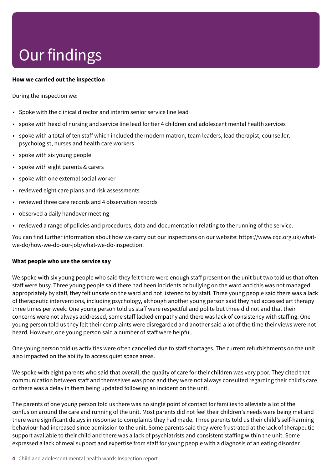#### **How we carried out the inspection**

During the inspection we:

- Spoke with the clinical director and interim senior service line lead
- spoke with head of nursing and service line lead for tier 4 children and adolescent mental health services
- spoke with a total of ten staff which included the modern matron, team leaders, lead therapist, counsellor, psychologist, nurses and health care workers
- spoke with six young people
- spoke with eight parents & carers
- spoke with one external social worker
- reviewed eight care plans and risk assessments
- reviewed three care records and 4 observation records
- observed a daily handover meeting
- reviewed a range of policies and procedures, data and documentation relating to the running of the service.

You can find further information about how we carry out our inspections on our website: https://www.cqc.org.uk/whatwe-do/how-we-do-our-job/what-we-do-inspection.

#### **What people who use the service say**

We spoke with six young people who said they felt there were enough staff present on the unit but two told us that often staff were busy. Three young people said there had been incidents or bullying on the ward and this was not managed appropriately by staff, they felt unsafe on the ward and not listened to by staff. Three young people said there was a lack of therapeutic interventions, including psychology, although another young person said they had accessed art therapy three times per week. One young person told us staff were respectful and polite but three did not and that their concerns were not always addressed, some staff lacked empathy and there was lack of consistency with staffing. One young person told us they felt their complaints were disregarded and another said a lot of the time their views were not heard. However, one young person said a number of staff were helpful.

One young person told us activities were often cancelled due to staff shortages. The current refurbishments on the unit also impacted on the ability to access quiet space areas.

We spoke with eight parents who said that overall, the quality of care for their children was very poor. They cited that communication between staff and themselves was poor and they were not always consulted regarding their child's care or there was a delay in them being updated following an incident on the unit.

The parents of one young person told us there was no single point of contact for families to alleviate a lot of the confusion around the care and running of the unit. Most parents did not feel their children's needs were being met and there were significant delays in response to complaints they had made. Three parents told us their child's self-harming behaviour had increased since admission to the unit. Some parents said they were frustrated at the lack of therapeutic support available to their child and there was a lack of psychiatrists and consistent staffing within the unit. Some expressed a lack of meal support and expertise from staff for young people with a diagnosis of an eating disorder.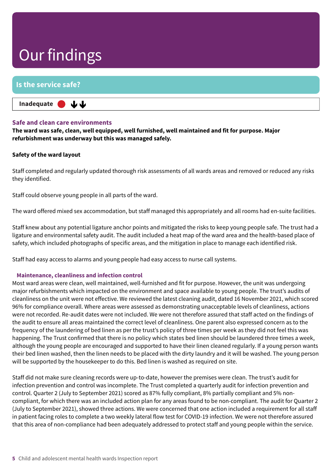#### **Is the service safe?**

**Inadequate –––** 山山

#### **Safe and clean care environments**

**The ward was safe, clean, well equipped, well furnished, well maintained and fit for purpose. Major refurbishment was underway but this was managed safely.**

#### **Safety of the ward layout**

Staff completed and regularly updated thorough risk assessments of all wards areas and removed or reduced any risks they identified.

Staff could observe young people in all parts of the ward.

The ward offered mixed sex accommodation, but staff managed this appropriately and all rooms had en-suite facilities.

Staff knew about any potential ligature anchor points and mitigated the risks to keep young people safe. The trust had a ligature and environmental safety audit. The audit included a heat map of the ward area and the health-based place of safety, which included photographs of specific areas, and the mitigation in place to manage each identified risk.

Staff had easy access to alarms and young people had easy access to nurse call systems.

#### **Maintenance, cleanliness and infection control**

Most ward areas were clean, well maintained, well-furnished and fit for purpose. However, the unit was undergoing major refurbishments which impacted on the environment and space available to young people. The trust's audits of cleanliness on the unit were not effective. We reviewed the latest cleaning audit, dated 16 November 2021, which scored 96% for compliance overall. Where areas were assessed as demonstrating unacceptable levels of cleanliness, actions were not recorded. Re-audit dates were not included. We were not therefore assured that staff acted on the findings of the audit to ensure all areas maintained the correct level of cleanliness. One parent also expressed concern as to the frequency of the laundering of bed linen as per the trust's policy of three times per week as they did not feel this was happening. The Trust confirmed that there is no policy which states bed linen should be laundered three times a week, although the young people are encouraged and supported to have their linen cleaned regularly. If a young person wants their bed linen washed, then the linen needs to be placed with the dirty laundry and it will be washed. The young person will be supported by the housekeeper to do this. Bed linen is washed as required on site.

Staff did not make sure cleaning records were up-to-date, however the premises were clean. The trust's audit for infection prevention and control was incomplete. The Trust completed a quarterly audit for infection prevention and control. Quarter 2 (July to September 2021) scored as 87% fully compliant, 8% partially compliant and 5% noncompliant, for which there was an included action plan for any areas found to be non-compliant. The audit for Quarter 2 (July to September 2021), showed three actions. We were concerned that one action included a requirement for all staff in patient facing roles to complete a two weekly lateral flow test for COVID-19 infection. We were not therefore assured that this area of non-compliance had been adequately addressed to protect staff and young people within the service.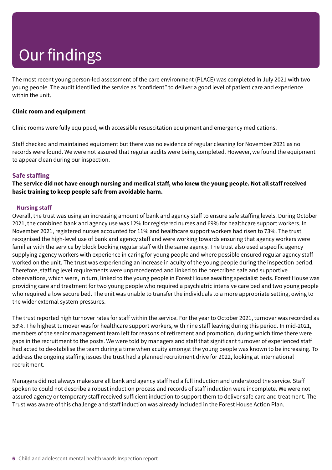The most recent young person-led assessment of the care environment (PLACE) was completed in July 2021 with two young people. The audit identified the service as "confident" to deliver a good level of patient care and experience within the unit.

#### **Clinic room and equipment**

Clinic rooms were fully equipped, with accessible resuscitation equipment and emergency medications.

Staff checked and maintained equipment but there was no evidence of regular cleaning for November 2021 as no records were found. We were not assured that regular audits were being completed. However, we found the equipment to appear clean during our inspection.

#### **Safe staffing**

The service did not have enough nursing and medical staff, who knew the young people. Not all staff received **basic training to keep people safe from avoidable harm.**

#### **Nursing staff**

Overall, the trust was using an increasing amount of bank and agency staff to ensure safe staffing levels. During October 2021, the combined bank and agency use was 12% for registered nurses and 69% for healthcare support workers. In November 2021, registered nurses accounted for 11% and healthcare support workers had risen to 73%. The trust recognised the high-level use of bank and agency staff and were working towards ensuring that agency workers were familiar with the service by block booking regular staff with the same agency. The trust also used a specific agency supplying agency workers with experience in caring for young people and where possible ensured regular agency staff worked on the unit. The trust was experiencing an increase in acuity of the young people during the inspection period. Therefore, staffing level requirements were unprecedented and linked to the prescribed safe and supportive observations, which were, in turn, linked to the young people in Forest House awaiting specialist beds. Forest House was providing care and treatment for two young people who required a psychiatric intensive care bed and two young people who required a low secure bed. The unit was unable to transfer the individuals to a more appropriate setting, owing to the wider external system pressures.

The trust reported high turnover rates for staff within the service. For the year to October 2021, turnover was recorded as 53%. The highest turnover was for healthcare support workers, with nine staff leaving during this period. In mid-2021, members of the senior management team left for reasons of retirement and promotion, during which time there were gaps in the recruitment to the posts. We were told by managers and staff that significant turnover of experienced staff had acted to de-stabilise the team during a time when acuity amongst the young people was known to be increasing. To address the ongoing staffing issues the trust had a planned recruitment drive for 2022, looking at international recruitment.

Managers did not always make sure all bank and agency staff had a full induction and understood the service. Staff spoken to could not describe a robust induction process and records of staff induction were incomplete. We were not assured agency or temporary staff received sufficient induction to support them to deliver safe care and treatment. The Trust was aware of this challenge and staff induction was already included in the Forest House Action Plan.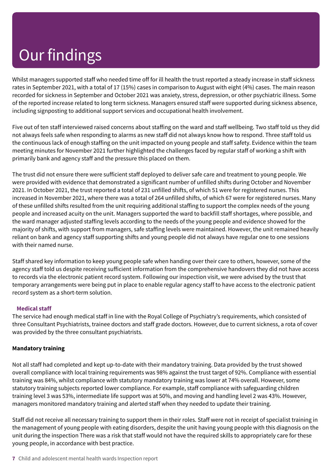Whilst managers supported staff who needed time off for ill health the trust reported a steady increase in staff sickness rates in September 2021, with a total of 17 (15%) cases in comparison to August with eight (4%) cases. The main reason recorded for sickness in September and October 2021 was anxiety, stress, depression, or other psychiatric illness. Some of the reported increase related to long term sickness. Managers ensured staff were supported during sickness absence, including signposting to additional support services and occupational health involvement.

Five out of ten staff interviewed raised concerns about staffing on the ward and staff wellbeing. Two staff told us they did not always feels safe when responding to alarms as new staff did not always know how to respond. Three staff told us the continuous lack of enough staffing on the unit impacted on young people and staff safety. Evidence within the team meeting minutes for November 2021 further highlighted the challenges faced by regular staff of working a shift with primarily bank and agency staff and the pressure this placed on them.

The trust did not ensure there were sufficient staff deployed to deliver safe care and treatment to young people. We were provided with evidence that demonstrated a significant number of unfilled shifts during October and November 2021. In October 2021, the trust reported a total of 231 unfilled shifts, of which 51 were for registered nurses. This increased in November 2021, where there was a total of 264 unfilled shifts, of which 67 were for registered nurses. Many of these unfilled shifts resulted from the unit requiring additional staffing to support the complex needs of the young people and increased acuity on the unit. Managers supported the ward to backfill staff shortages, where possible, and the ward manager adjusted staffing levels according to the needs of the young people and evidence showed for the majority of shifts, with support from managers, safe staffing levels were maintained. However, the unit remained heavily reliant on bank and agency staff supporting shifts and young people did not always have regular one to one sessions with their named nurse.

Staff shared key information to keep young people safe when handing over their care to others, however, some of the agency staff told us despite receiving sufficient information from the comprehensive handovers they did not have access to records via the electronic patient record system. Following our inspection visit, we were advised by the trust that temporary arrangements were being put in place to enable regular agency staff to have access to the electronic patient record system as a short-term solution.

#### **Medical staff**

The service had enough medical staff in line with the Royal College of Psychiatry's requirements, which consisted of three Consultant Psychiatrists, trainee doctors and staff grade doctors. However, due to current sickness, a rota of cover was provided by the three consultant psychiatrists.

#### **Mandatory training**

Not all staff had completed and kept up-to-date with their mandatory training. Data provided by the trust showed overall compliance with local training requirements was 98% against the trust target of 92%. Compliance with essential training was 84%, whilst compliance with statutory mandatory training was lower at 74% overall. However, some statutory training subjects reported lower compliance. For example, staff compliance with safeguarding children training level 3 was 53%, intermediate life support was at 50%, and moving and handling level 2 was 43%. However, managers monitored mandatory training and alerted staff when they needed to update their training.

Staff did not receive all necessary training to support them in their roles. Staff were not in receipt of specialist training in the management of young people with eating disorders, despite the unit having young people with this diagnosis on the unit during the inspection There was a risk that staff would not have the required skills to appropriately care for these young people, in accordance with best practice.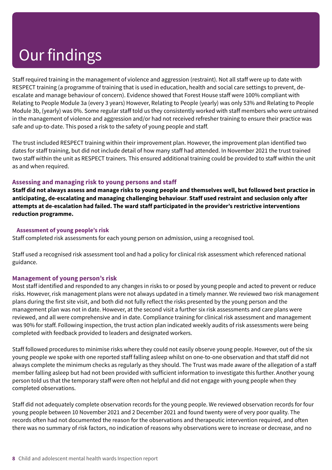Staff required training in the management of violence and aggression (restraint). Not all staff were up to date with RESPECT training (a programme of training that is used in education, health and social care settings to prevent, deescalate and manage behaviour of concern). Evidence showed that Forest House staff were 100% compliant with Relating to People Module 3a (every 3 years) However, Relating to People (yearly) was only 53% and Relating to People Module 3b, (yearly) was 0%. Some regular staff told us they consistently worked with staff members who were untrained in the management of violence and aggression and/or had not received refresher training to ensure their practice was safe and up-to-date. This posed a risk to the safety of young people and staff.

The trust included RESPECT training within their improvement plan. However, the improvement plan identified two dates for staff training, but did not include detail of how many staff had attended. In November 2021 the trust trained two staff within the unit as RESPECT trainers. This ensured additional training could be provided to staff within the unit as and when required.

#### **Assessing and managing risk to young persons and staff**

Staff did not always assess and manage risks to young people and themselves well, but followed best practice in **anticipating, de-escalating and managing challenging behaviour**. **Staff used restraint and seclusion only after attempts at de-escalation had failed. The ward staff participated in the provider's restrictive interventions reduction programme.**

#### **Assessment of young people's risk**

Staff completed risk assessments for each young person on admission, using a recognised tool.

Staff used a recognised risk assessment tool and had a policy for clinical risk assessment which referenced national guidance.

#### **Management of young person's risk**

Most staff identified and responded to any changes in risks to or posed by young people and acted to prevent or reduce risks. However, risk management plans were not always updated in a timely manner. We reviewed two risk management plans during the first site visit, and both did not fully reflect the risks presented by the young person and the management plan was not in date. However, at the second visit a further six risk assessments and care plans were reviewed, and all were comprehensive and in date. Compliance training for clinical risk assessment and management was 90% for staff. Following inspection, the trust action plan indicated weekly audits of risk assessments were being completed with feedback provided to leaders and designated workers.

Staff followed procedures to minimise risks where they could not easily observe young people. However, out of the six young people we spoke with one reported staff falling asleep whilst on one-to-one observation and that staff did not always complete the minimum checks as regularly as they should. The Trust was made aware of the allegation of a staff member falling asleep but had not been provided with sufficient information to investigate this further. Another young person told us that the temporary staff were often not helpful and did not engage with young people when they completed observations.

Staff did not adequately complete observation records for the young people. We reviewed observation records for four young people between 10 November 2021 and 2 December 2021 and found twenty were of very poor quality. The records often had not documented the reason for the observations and therapeutic intervention required, and often there was no summary of risk factors, no indication of reasons why observations were to increase or decrease, and no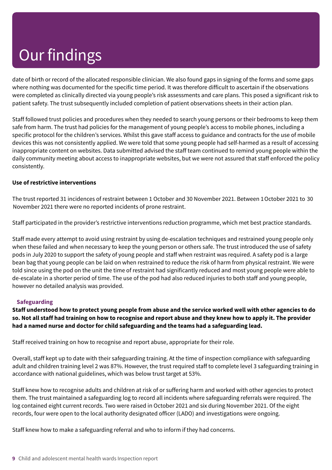date of birth or record of the allocated responsible clinician. We also found gaps in signing of the forms and some gaps where nothing was documented for the specific time period. It was therefore difficult to ascertain if the observations were completed as clinically directed via young people's risk assessments and care plans. This posed a significant risk to patient safety. The trust subsequently included completion of patient observations sheets in their action plan.

Staff followed trust policies and procedures when they needed to search young persons or their bedrooms to keep them safe from harm. The trust had policies for the management of young people's access to mobile phones, including a specific protocol for the children's services. Whilst this gave staff access to guidance and contracts for the use of mobile devices this was not consistently applied. We were told that some young people had self-harmed as a result of accessing inappropriate content on websites. Data submitted advised the staff team continued to remind young people within the daily community meeting about access to inappropriate websites, but we were not assured that staff enforced the policy consistently.

#### **Use of restrictive interventions**

The trust reported 31 incidences of restraint between 1 October and 30 November 2021. Between 1October 2021 to 30 November 2021 there were no reported incidents of prone restraint.

Staff participated in the provider's restrictive interventions reduction programme, which met best practice standards.

Staff made every attempt to avoid using restraint by using de-escalation techniques and restrained young people only when these failed and when necessary to keep the young person or others safe. The trust introduced the use of safety pods in July 2020 to support the safety of young people and staff when restraint was required. A safety pod is a large bean bag that young people can be laid on when restrained to reduce the risk of harm from physical restraint. We were told since using the pod on the unit the time of restraint had significantly reduced and most young people were able to de-escalate in a shorter period of time. The use of the pod had also reduced injuries to both staff and young people, however no detailed analysis was provided.

#### **Safeguarding**

Staff understood how to protect young people from abuse and the service worked well with other agencies to do so. Not all staff had training on how to recognise and report abuse and they knew how to apply it. The provider **had a named nurse and doctor for child safeguarding and the teams had a safeguarding lead.**

Staff received training on how to recognise and report abuse, appropriate for their role.

Overall, staff kept up to date with their safeguarding training. At the time of inspection compliance with safeguarding adult and children training level 2 was 87%. However, the trust required staff to complete level 3 safeguarding training in accordance with national guidelines, which was below trust target at 53%.

Staff knew how to recognise adults and children at risk of or suffering harm and worked with other agencies to protect them. The trust maintained a safeguarding log to record all incidents where safeguarding referrals were required. The log contained eight current records. Two were raised in October 2021 and six during November 2021. Of the eight records, four were open to the local authority designated officer (LADO) and investigations were ongoing.

Staff knew how to make a safeguarding referral and who to inform if they had concerns.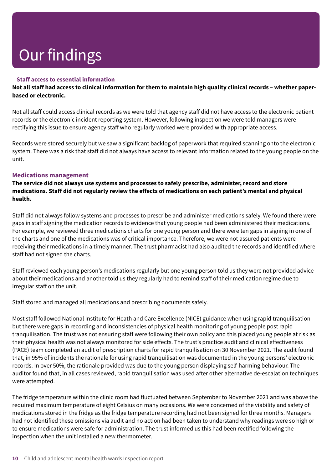#### **Staff access to essential information**

Not all staff had access to clinical information for them to maintain high quality clinical records – whether paper**based or electronic.**

Not all staff could access clinical records as we were told that agency staff did not have access to the electronic patient records or the electronic incident reporting system. However, following inspection we were told managers were rectifying this issue to ensure agency staff who regularly worked were provided with appropriate access.

Records were stored securely but we saw a significant backlog of paperwork that required scanning onto the electronic system. There was a risk that staff did not always have access to relevant information related to the young people on the unit.

#### **Medications management**

**The service did not always use systems and processes to safely prescribe, administer, record and store medications. Staff did not regularly review the effects of medications on each patient's mental and physical health.**

Staff did not always follow systems and processes to prescribe and administer medications safely. We found there were gaps in staff signing the medication records to evidence that young people had been administered their medications. For example, we reviewed three medications charts for one young person and there were ten gaps in signing in one of the charts and one of the medications was of critical importance. Therefore, we were not assured patients were receiving their medications in a timely manner. The trust pharmacist had also audited the records and identified where staff had not signed the charts.

Staff reviewed each young person's medications regularly but one young person told us they were not provided advice about their medications and another told us they regularly had to remind staff of their medication regime due to irregular staff on the unit.

Staff stored and managed all medications and prescribing documents safely.

Most staff followed National Institute for Heath and Care Excellence (NICE) guidance when using rapid tranquilisation but there were gaps in recording and inconsistencies of physical health monitoring of young people post rapid tranquilisation. The trust was not ensuring staff were following their own policy and this placed young people at risk as their physical health was not always monitored for side effects. The trust's practice audit and clinical effectiveness (PACE) team completed an audit of prescription charts for rapid tranquilisation on 30 November 2021. The audit found that, in 95% of incidents the rationale for using rapid tranquilisation was documented in the young persons' electronic records. In over 50%, the rationale provided was due to the young person displaying self-harming behaviour. The auditor found that, in all cases reviewed, rapid tranquilisation was used after other alternative de-escalation techniques were attempted.

The fridge temperature within the clinic room had fluctuated between September to November 2021 and was above the required maximum temperature of eight Celsius on many occasions. We were concerned of the viability and safety of medications stored in the fridge as the fridge temperature recording had not been signed for three months. Managers had not identified these omissions via audit and no action had been taken to understand why readings were so high or to ensure medications were safe for administration. The trust informed us this had been rectified following the inspection when the unit installed a new thermometer.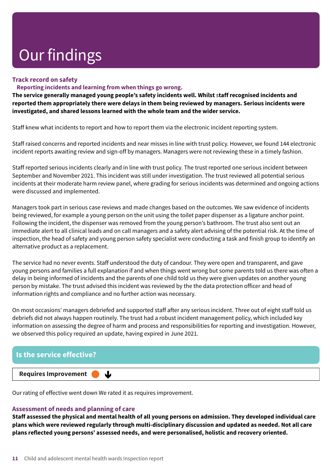#### **Track record on safety**

#### **Reporting incidents and learning from when things go wrong.**

**The service generally managed young people's safety incidents well. Whilst** s**taff recognised incidents and reported them appropriately there were delays in them being reviewed by managers. Serious incidents were investigated, and shared lessons learned with the whole team and the wider service.**

Staff knew what incidents to report and how to report them via the electronic incident reporting system.

Staff raised concerns and reported incidents and near misses in line with trust policy. However, we found 144 electronic incident reports awaiting review and sign-off by managers. Managers were not reviewing these in a timely fashion.

Staff reported serious incidents clearly and in line with trust policy. The trust reported one serious incident between September and November 2021. This incident was still under investigation. The trust reviewed all potential serious incidents at their moderate harm review panel, where grading for serious incidents was determined and ongoing actions were discussed and implemented.

Managers took part in serious case reviews and made changes based on the outcomes. We saw evidence of incidents being reviewed, for example a young person on the unit using the toilet paper dispenser as a ligature anchor point. Following the incident, the dispenser was removed from the young person's bathroom. The trust also sent out an immediate alert to all clinical leads and on call managers and a safety alert advising of the potential risk. At the time of inspection, the head of safety and young person safety specialist were conducting a task and finish group to identify an alternative product as a replacement.

The service had no never events. Staff understood the duty of candour. They were open and transparent, and gave young persons and families a full explanation if and when things went wrong but some parents told us there was often a delay in being informed of incidents and the parents of one child told us they were given updates on another young person by mistake. The trust advised this incident was reviewed by the the data protection officer and head of information rights and compliance and no further action was necessary.

On most occasions' managers debriefed and supported staff after any serious incident. Three out of eight staff told us debriefs did not always happen routinely. The trust had a robust incident management policy, which included key information on assessing the degree of harm and process and responsibilities for reporting and investigation. However, we observed this policy required an update, having expired in June 2021.



Our rating of effective went down We rated it as requires improvement.

#### **Assessment of needs and planning of care**

Staff assessed the physical and mental health of all young persons on admission. They developed individual care **plans which were reviewed regularly through multi-disciplinary discussion and updated as needed. Not all care plans reflected young persons' assessed needs, and were personalised, holistic and recovery oriented.**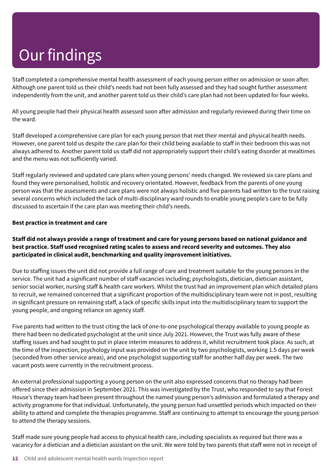Staff completed a comprehensive mental health assessment of each young person either on admission or soon after. Although one parent told us their child's needs had not been fully assessed and they had sought further assessment independently from the unit, and another parent told us their child's care plan had not been updated for four weeks.

All young people had their physical health assessed soon after admission and regularly reviewed during their time on the ward.

Staff developed a comprehensive care plan for each young person that met their mental and physical health needs. However, one parent told us despite the care plan for their child being available to staff in their bedroom this was not always adhered to. Another parent told us staff did not appropriately support their child's eating disorder at mealtimes and the menu was not sufficiently varied.

Staff regularly reviewed and updated care plans when young persons' needs changed. We reviewed six care plans and found they were personalised, holistic and recovery orientated. However, feedback from the parents of one young person was that the assessments and care plans were not always holistic and five parents had written to the trust raising several concerns which included the lack of multi-disciplinary ward rounds to enable young people's care to be fully discussed to ascertain if the care plan was meeting their child's needs.

#### **Best practice in treatment and care**

#### Staff did not always provide a range of treatment and care for young persons based on national guidance and **best practice. Staff used recognised rating scales to assess and record severity and outcomes. They also participated in clinical audit, benchmarking and quality improvement initiatives.**

Due to staffing issues the unit did not provide a full range of care and treatment suitable for the young persons in the service. The unit had a significant number of staff vacancies including; psychologists, dietician, dietician assistant, senior social worker, nursing staff & health care workers. Whilst the trust had an improvement plan which detailed plans to recruit, we remained concerned that a significant proportion of the multidisciplinary team were not in post, resulting in significant pressure on remaining staff, a lack of specific skills input into the multidisciplinary team to support the young people, and ongoing reliance on agency staff.

Five parents had written to the trust citing the lack of one-to-one psychological therapy available to young people as there had been no dedicated psychologist at the unit since July 2021. However, the Trust was fully aware of these staffing issues and had sought to put in place interim measures to address it, whilst recruitment took place. As such, at the time of the inspection, psychology input was provided on the unit by two psychologists, working 1.5 days per week (seconded from other service areas), and one psychologist supporting staff for another half day per week. The two vacant posts were currently in the recruitment process.

An external professional supporting a young person on the unit also expressed concerns that no therapy had been offered since their admission in September 2021. This was investigated by the Trust, who responded to say that Forest House's therapy team had been present throughout the named young person's admission and formulated a therapy and activity programme for that individual. Unfortunately, the young person had unsettled periods which impacted on their ability to attend and complete the therapies programme. Staff are continuing to attempt to encourage the young person to attend the therapy sessions.

Staff made sure young people had access to physical health care, including specialists as required but there was a vacancy for a dietician and a dietician assistant on the unit. We were told by two parents that staff were not in receipt of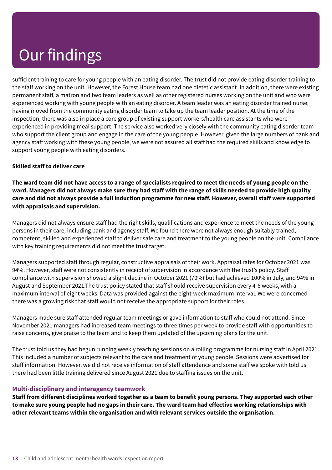sufficient training to care for young people with an eating disorder. The trust did not provide eating disorder training to the staff working on the unit. However, the Forest House team had one dietetic assistant. In addition, there were existing permanent staff, a matron and two team leaders as well as other registered nurses working on the unit and who were experienced working with young people with an eating disorder. A team leader was an eating disorder trained nurse, having moved from the community eating disorder team to take up the team leader position. At the time of the inspection, there was also in place a core group of existing support workers/health care assistants who were experienced in providing meal support. The service also worked very closely with the community eating disorder team who support the client group and engage in the care of the young people. However, given the large numbers of bank and agency staff working with these young people, we were not assured all staff had the required skills and knowledge to support young people with eating disorders.

#### **Skilled staff to deliver care**

The ward team did not have access to a range of specialists required to meet the needs of young people on the ward. Managers did not always make sure they had staff with the range of skills needed to provide high quality care and did not always provide a full induction programme for new staff. However, overall staff were supported **with appraisals and supervision.**

Managers did not always ensure staff had the right skills, qualifications and experience to meet the needs of the young persons in their care, including bank and agency staff. We found there were not always enough suitably trained, competent, skilled and experienced staff to deliver safe care and treatment to the young people on the unit. Compliance with key training requirements did not meet the trust target.

Managers supported staff through regular, constructive appraisals of their work. Appraisal rates for October 2021 was 94%. However, staff were not consistently in receipt of supervision in accordance with the trust's policy. Staff compliance with supervision showed a slight decline in October 2021 (70%) but had achieved 100% in July, and 94% in August and September 2021.The trust policy stated that staff should receive supervision every 4-6 weeks, with a maximum interval of eight weeks. Data was provided against the eight-week maximum interval. We were concerned there was a growing risk that staff would not receive the appropriate support for their roles.

Managers made sure staff attended regular team meetings or gave information to staff who could not attend. Since November 2021 managers had increased team meetings to three times per week to provide staff with opportunities to raise concerns, give praise to the team and to keep them updated of the upcoming plans for the unit.

The trust told us they had begun running weekly teaching sessions on a rolling programme for nursing staff in April 2021. This included a number of subjects relevant to the care and treatment of young people. Sessions were advertised for staff information. However, we did not receive information of staff attendance and some staff we spoke with told us there had been little training delivered since August 2021 due to staffing issues on the unit.

#### **Multi-disciplinary and interagency teamwork**

Staff from different disciplines worked together as a team to benefit young persons. They supported each other to make sure young people had no gaps in their care. The ward team had effective working relationships with **other relevant teams within the organisation and with relevant services outside the organisation.**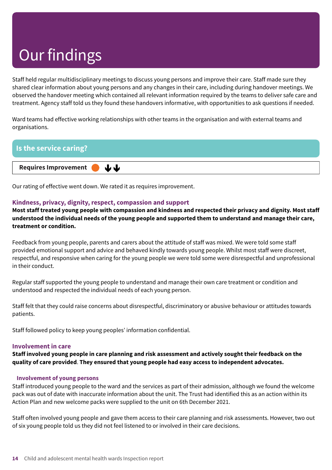Staff held regular multidisciplinary meetings to discuss young persons and improve their care. Staff made sure they shared clear information about young persons and any changes in their care, including during handover meetings. We observed the handover meeting which contained all relevant information required by the teams to deliver safe care and treatment. Agency staff told us they found these handovers informative, with opportunities to ask questions if needed.

Ward teams had effective working relationships with other teams in the organisation and with external teams and organisations.



Our rating of effective went down. We rated it as requires improvement.

#### **Kindness, privacy, dignity, respect, compassion and support**

Most staff treated young people with compassion and kindness and respected their privacy and dignity. Most staff understood the individual needs of the young people and supported them to understand and manage their care, **treatment or condition.**

Feedback from young people, parents and carers about the attitude of staff was mixed. We were told some staff provided emotional support and advice and behaved kindly towards young people. Whilst most staff were discreet, respectful, and responsive when caring for the young people we were told some were disrespectful and unprofessional in their conduct.

Regular staff supported the young people to understand and manage their own care treatment or condition and understood and respected the individual needs of each young person.

Staff felt that they could raise concerns about disrespectful, discriminatory or abusive behaviour or attitudes towards patients.

Staff followed policy to keep young peoples' information confidential.

#### **Involvement in care**

Staff involved young people in care planning and risk assessment and actively sought their feedback on the **quality of care provided**. **They ensured that young people had easy access to independent advocates.**

#### **Involvement of young persons**

Staff introduced young people to the ward and the services as part of their admission, although we found the welcome pack was out of date with inaccurate information about the unit. The Trust had identified this as an action within its Action Plan and new welcome packs were supplied to the unit on 6th December 2021.

Staff often involved young people and gave them access to their care planning and risk assessments. However, two out of six young people told us they did not feel listened to or involved in their care decisions.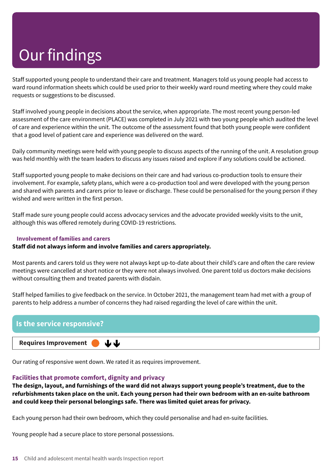Staff supported young people to understand their care and treatment. Managers told us young people had access to ward round information sheets which could be used prior to their weekly ward round meeting where they could make requests or suggestions to be discussed.

Staff involved young people in decisions about the service, when appropriate. The most recent young person-led assessment of the care environment (PLACE) was completed in July 2021 with two young people which audited the level of care and experience within the unit. The outcome of the assessment found that both young people were confident that a good level of patient care and experience was delivered on the ward.

Daily community meetings were held with young people to discuss aspects of the running of the unit. A resolution group was held monthly with the team leaders to discuss any issues raised and explore if any solutions could be actioned.

Staff supported young people to make decisions on their care and had various co-production tools to ensure their involvement. For example, safety plans, which were a co-production tool and were developed with the young person and shared with parents and carers prior to leave or discharge. These could be personalised for the young person if they wished and were written in the first person.

Staff made sure young people could access advocacy services and the advocate provided weekly visits to the unit, although this was offered remotely during COVID-19 restrictions.

#### **Involvement of families and carers**

**Staff did not always inform and involve families and carers appropriately.**

Most parents and carers told us they were not always kept up-to-date about their child's care and often the care review meetings were cancelled at short notice or they were not always involved. One parent told us doctors make decisions without consulting them and treated parents with disdain.

Staff helped families to give feedback on the service. In October 2021, the management team had met with a group of parents to help address a number of concerns they had raised regarding the level of care within the unit.



Our rating of responsive went down. We rated it as requires improvement.

#### **Facilities that promote comfort, dignity and privacy**

The design, layout, and furnishings of the ward did not always support young people's treatment, due to the **refurbishments taken place on the unit. Each young person had their own bedroom with an en-suite bathroom and could keep their personal belongings safe. There was limited quiet areas for privacy.**

Each young person had their own bedroom, which they could personalise and had en-suite facilities.

Young people had a secure place to store personal possessions.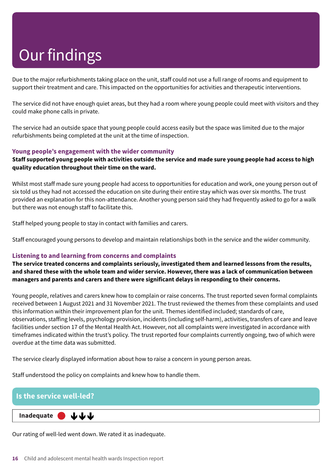Due to the major refurbishments taking place on the unit, staff could not use a full range of rooms and equipment to support their treatment and care. This impacted on the opportunities for activities and therapeutic interventions.

The service did not have enough quiet areas, but they had a room where young people could meet with visitors and they could make phone calls in private.

The service had an outside space that young people could access easily but the space was limited due to the major refurbishments being completed at the unit at the time of inspection.

#### **Young people's engagement with the wider community**

#### Staff supported young people with activities outside the service and made sure young people had access to high **quality education throughout their time on the ward.**

Whilst most staff made sure young people had access to opportunities for education and work, one young person out of six told us they had not accessed the education on site during their entire stay which was over six months. The trust provided an explanation for this non-attendance. Another young person said they had frequently asked to go for a walk but there was not enough staff to facilitate this.

Staff helped young people to stay in contact with families and carers.

Staff encouraged young persons to develop and maintain relationships both in the service and the wider community.

#### **Listening to and learning from concerns and complaints**

**The service treated concerns and complaints seriously, investigated them and learned lessons from the results,** and shared these with the whole team and wider service. However, there was a lack of communication between **managers and parents and carers and there were significant delays in responding to their concerns.**

Young people, relatives and carers knew how to complain or raise concerns. The trust reported seven formal complaints received between 1 August 2021 and 31 November 2021. The trust reviewed the themes from these complaints and used this information within their improvement plan for the unit. Themes identified included; standards of care, observations, staffing levels, psychology provision, incidents (including self-harm), activities, transfers of care and leave facilities under section 17 of the Mental Health Act. However, not all complaints were investigated in accordance with timeframes indicated within the trust's policy. The trust reported four complaints currently ongoing, two of which were overdue at the time data was submitted.

The service clearly displayed information about how to raise a concern in young person areas.

Staff understood the policy on complaints and knew how to handle them.

#### **Is the service well-led?**

**Inadequate –––** JJJ

Our rating of well-led went down. We rated it as inadequate.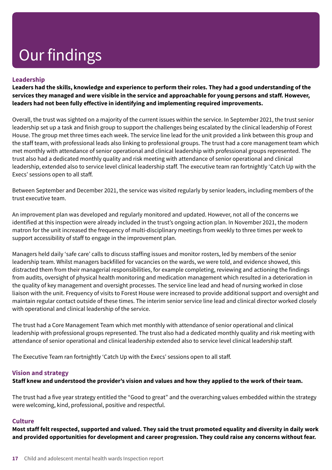#### **Leadership**

Leaders had the skills, knowledge and experience to perform their roles. They had a good understanding of the services they managed and were visible in the service and approachable for young persons and staff. However, **leaders had not been fully effective in identifying and implementing required improvements.**

Overall, the trust was sighted on a majority of the current issues within the service. In September 2021, the trust senior leadership set up a task and finish group to support the challenges being escalated by the clinical leadership of Forest House. The group met three times each week. The service line lead for the unit provided a link between this group and the staff team, with professional leads also linking to professional groups. The trust had a core management team which met monthly with attendance of senior operational and clinical leadership with professional groups represented. The trust also had a dedicated monthly quality and risk meeting with attendance of senior operational and clinical leadership, extended also to service level clinical leadership staff. The executive team ran fortnightly 'Catch Up with the Execs' sessions open to all staff.

Between September and December 2021, the service was visited regularly by senior leaders, including members of the trust executive team.

An improvement plan was developed and regularly monitored and updated. However, not all of the concerns we identified at this inspection were already included in the trust's ongoing action plan. In November 2021, the modern matron for the unit increased the frequency of multi-disciplinary meetings from weekly to three times per week to support accessibility of staff to engage in the improvement plan.

Managers held daily 'safe care' calls to discuss staffing issues and monitor rosters, led by members of the senior leadership team. Whilst managers backfilled for vacancies on the wards, we were told, and evidence showed, this distracted them from their managerial responsibilities, for example completing, reviewing and actioning the findings from audits, oversight of physical health monitoring and medication management which resulted in a deterioration in the quality of key management and oversight processes. The service line lead and head of nursing worked in close liaison with the unit. Frequency of visits to Forest House were increased to provide additional support and oversight and maintain regular contact outside of these times. The interim senior service line lead and clinical director worked closely with operational and clinical leadership of the service.

The trust had a Core Management Team which met monthly with attendance of senior operational and clinical leadership with professional groups represented. The trust also had a dedicated monthly quality and risk meeting with attendance of senior operational and clinical leadership extended also to service level clinical leadership staff.

The Executive Team ran fortnightly 'Catch Up with the Execs' sessions open to all staff.

#### **Vision and strategy**

#### Staff knew and understood the provider's vision and values and how they applied to the work of their team.

The trust had a five year strategy entitled the "Good to great" and the overarching values embedded within the strategy were welcoming, kind, professional, positive and respectful.

#### **Culture**

Most staff felt respected, supported and valued. They said the trust promoted equality and diversity in daily work **and provided opportunities for development and career progression. They could raise any concerns without fear.**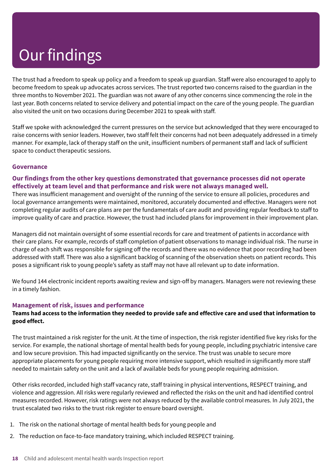The trust had a freedom to speak up policy and a freedom to speak up guardian. Staff were also encouraged to apply to become freedom to speak up advocates across services. The trust reported two concerns raised to the guardian in the three months to November 2021. The guardian was not aware of any other concerns since commencing the role in the last year. Both concerns related to service delivery and potential impact on the care of the young people. The guardian also visited the unit on two occasions during December 2021 to speak with staff.

Staff we spoke with acknowledged the current pressures on the service but acknowledged that they were encouraged to raise concerns with senior leaders. However, two staff felt their concerns had not been adequately addressed in a timely manner. For example, lack of therapy staff on the unit, insufficient numbers of permanent staff and lack of sufficient space to conduct therapeutic sessions.

#### **Governance**

#### **Our findings from the other key questions demonstrated that governance processes did not operate effectively at team level and that performance and risk were not always managed well.**

There was insufficient management and oversight of the running of the service to ensure all policies, procedures and local governance arrangements were maintained, monitored, accurately documented and effective. Managers were not completing regular audits of care plans are per the fundamentals of care audit and providing regular feedback to staff to improve quality of care and practice. However, the trust had included plans for improvement in their improvement plan.

Managers did not maintain oversight of some essential records for care and treatment of patients in accordance with their care plans. For example, records of staff completion of patient observations to manage individual risk. The nurse in charge of each shift was responsible for signing off the records and there was no evidence that poor recording had been addressed with staff. There was also a significant backlog of scanning of the observation sheets on patient records. This poses a significant risk to young people's safety as staff may not have all relevant up to date information.

We found 144 electronic incident reports awaiting review and sign-off by managers. Managers were not reviewing these in a timely fashion.

#### **Management of risk, issues and performance**

#### Teams had access to the information they needed to provide safe and effective care and used that information to **good effect.**

The trust maintained a risk register for the unit. At the time of inspection, the risk register identified five key risks for the service. For example, the national shortage of mental health beds for young people, including psychiatric intensive care and low secure provision. This had impacted significantly on the service. The trust was unable to secure more appropriate placements for young people requiring more intensive support, which resulted in significantly more staff needed to maintain safety on the unit and a lack of available beds for young people requiring admission.

Other risks recorded, included high staff vacancy rate, staff training in physical interventions, RESPECT training, and violence and aggression. All risks were regularly reviewed and reflected the risks on the unit and had identified control measures recorded. However, risk ratings were not always reduced by the available control measures. In July 2021, the trust escalated two risks to the trust risk register to ensure board oversight.

- 1. The risk on the national shortage of mental health beds for young people and
- 2. The reduction on face-to-face mandatory training, which included RESPECT training.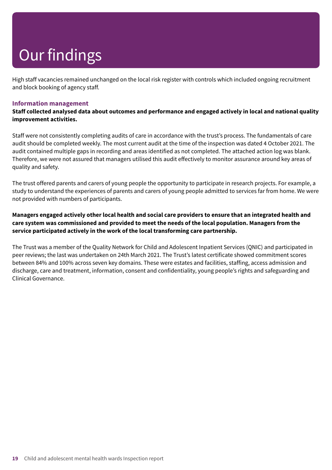High staff vacancies remained unchanged on the local risk register with controls which included ongoing recruitment and block booking of agency staff.

#### **Information management**

**Staff collected analysed data about outcomes and performance and engaged actively in local and national quality improvement activities.**

Staff were not consistently completing audits of care in accordance with the trust's process. The fundamentals of care audit should be completed weekly. The most current audit at the time of the inspection was dated 4 October 2021. The audit contained multiple gaps in recording and areas identified as not completed. The attached action log was blank. Therefore, we were not assured that managers utilised this audit effectively to monitor assurance around key areas of quality and safety.

The trust offered parents and carers of young people the opportunity to participate in research projects. For example, a study to understand the experiences of parents and carers of young people admitted to services far from home. We were not provided with numbers of participants.

#### Managers engaged actively other local health and social care providers to ensure that an integrated health and **care system was commissioned and provided to meet the needs of the local population. Managers from the service participated actively in the work of the local transforming care partnership.**

The Trust was a member of the Quality Network for Child and Adolescent Inpatient Services (QNIC) and participated in peer reviews; the last was undertaken on 24th March 2021. The Trust's latest certificate showed commitment scores between 84% and 100% across seven key domains. These were estates and facilities, staffing, access admission and discharge, care and treatment, information, consent and confidentiality, young people's rights and safeguarding and Clinical Governance.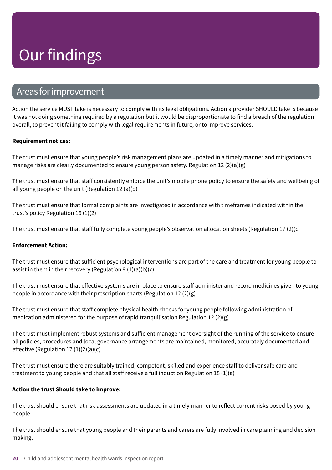### Areas forimprovement

Action the service MUST take is necessary to comply with its legal obligations. Action a provider SHOULD take is because it was not doing something required by a regulation but it would be disproportionate to find a breach of the regulation overall, to prevent it failing to comply with legal requirements in future, or to improve services.

#### **Requirement notices:**

The trust must ensure that young people's risk management plans are updated in a timely manner and mitigations to manage risks are clearly documented to ensure young person safety. Regulation 12  $(2)(a)(g)$ 

The trust must ensure that staff consistently enforce the unit's mobile phone policy to ensure the safety and wellbeing of all young people on the unit (Regulation 12 (a)(b)

The trust must ensure that formal complaints are investigated in accordance with timeframes indicated within the trust's policy Regulation 16 (1)(2)

The trust must ensure that staff fully complete young people's observation allocation sheets (Regulation 17 (2)(c)

#### **Enforcement Action:**

The trust must ensure that sufficient psychological interventions are part of the care and treatment for young people to assist in them in their recovery (Regulation 9  $(1)(a)(b)(c)$ 

The trust must ensure that effective systems are in place to ensure staff administer and record medicines given to young people in accordance with their prescription charts (Regulation 12 (2)(g)

The trust must ensure that staff complete physical health checks for young people following administration of medication administered for the purpose of rapid tranquilisation Regulation 12  $(2)(g)$ 

The trust must implement robust systems and sufficient management oversight of the running of the service to ensure all policies, procedures and local governance arrangements are maintained, monitored, accurately documented and effective (Regulation 17 (1)(2)(a)(c)

The trust must ensure there are suitably trained, competent, skilled and experience staff to deliver safe care and treatment to young people and that all staff receive a full induction Regulation 18  $(1)(a)$ 

#### **Action the trust Should take to improve:**

The trust should ensure that risk assessments are updated in a timely manner to reflect current risks posed by young people.

The trust should ensure that young people and their parents and carers are fully involved in care planning and decision making.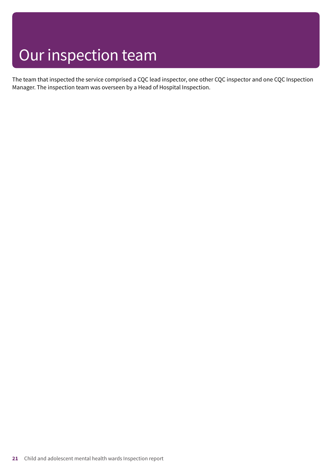### Our inspection team

The team that inspected the service comprised a CQC lead inspector, one other CQC inspector and one CQC Inspection Manager. The inspection team was overseen by a Head of Hospital Inspection.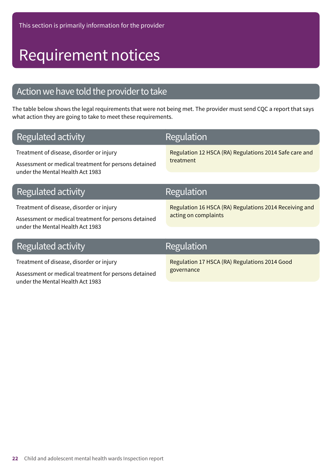### Requirement notices

### Action we have told the provider to take

The table below shows the legal requirements that were not being met. The provider must send CQC a report that says what action they are going to take to meet these requirements.

| Regulated activity                                                                                                                   | <b>Regulation</b>                                                              |
|--------------------------------------------------------------------------------------------------------------------------------------|--------------------------------------------------------------------------------|
| Treatment of disease, disorder or injury<br>Assessment or medical treatment for persons detained<br>under the Mental Health Act 1983 | Regulation 12 HSCA (RA) Regulations 2014 Safe care and<br>treatment            |
| Regulated activity                                                                                                                   | Regulation                                                                     |
| Treatment of disease, disorder or injury<br>Assessment or medical treatment for persons detained<br>under the Mental Health Act 1983 | Regulation 16 HSCA (RA) Regulations 2014 Receiving and<br>acting on complaints |
| Regulated activity                                                                                                                   | Regulation                                                                     |
| Treatment of disease, disorder or injury<br>المحمد المقمام المحدود مصطرفات والمتلوم والمستلم والمحمد براد المتحدود والمستخدمات       | Regulation 17 HSCA (RA) Regulations 2014 Good<br>governance                    |

Assessment or medical treatment for persons detained

under the Mental Health Act 1983